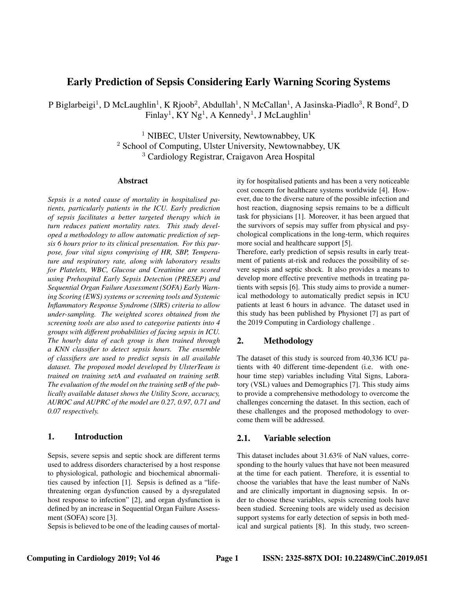# Early Prediction of Sepsis Considering Early Warning Scoring Systems

P Biglarbeigi<sup>1</sup>, D McLaughlin<sup>1</sup>, K Rjoob<sup>2</sup>, Abdullah<sup>1</sup>, N McCallan<sup>1</sup>, A Jasinska-Piadlo<sup>3</sup>, R Bond<sup>2</sup>, D Finlay<sup>1</sup>, KY Ng<sup>1</sup>, A Kennedy<sup>1</sup>, J McLaughlin<sup>1</sup>

> <sup>1</sup> NIBEC, Ulster University, Newtownabbey, UK <sup>2</sup> School of Computing, Ulster University, Newtownabbey, UK <sup>3</sup> Cardiology Registrar, Craigavon Area Hospital

#### Abstract

*Sepsis is a noted cause of mortality in hospitalised patients, particularly patients in the ICU. Early prediction of sepsis facilitates a better targeted therapy which in turn reduces patient mortality rates. This study developed a methodology to allow automatic prediction of sepsis 6 hours prior to its clinical presentation. For this purpose, four vital signs comprising of HR, SBP, Temperature and respiratory rate, along with laboratory results for Platelets, WBC, Glucose and Creatinine are scored using Prehospital Early Sepsis Detection (PRESEP) and Sequential Organ Failure Assessment (SOFA) Early Warning Scoring (EWS) systems or screening tools and Systemic Inflammatory Response Syndrome (SIRS) criteria to allow under-sampling. The weighted scores obtained from the screening tools are also used to categorise patients into 4 groups with different probabilities of facing sepsis in ICU. The hourly data of each group is then trained through a KNN classifier to detect sepsis hours. The ensemble of classifiers are used to predict sepsis in all available dataset. The proposed model developed by UlsterTeam is trained on training setA and evaluated on training setB. The evaluation of the model on the training setB of the publically available dataset shows the Utility Score, accuracy, AUROC and AUPRC of the model are 0.27, 0.97, 0.71 and 0.07 respectively.*

## 1. Introduction

Sepsis, severe sepsis and septic shock are different terms used to address disorders characterised by a host response to physiological, pathologic and biochemical abnormalities caused by infection [1]. Sepsis is defined as a "lifethreatening organ dysfunction caused by a dysregulated host response to infection" [2], and organ dysfunction is defined by an increase in Sequential Organ Failure Assessment (SOFA) score [3].

Sepsis is believed to be one of the leading causes of mortal-

ity for hospitalised patients and has been a very noticeable cost concern for healthcare systems worldwide [4]. However, due to the diverse nature of the possible infection and host reaction, diagnosing sepsis remains to be a difficult task for physicians [1]. Moreover, it has been argued that the survivors of sepsis may suffer from physical and psychological complications in the long-term, which requires more social and healthcare support [5].

Therefore, early prediction of sepsis results in early treatment of patients at-risk and reduces the possibility of severe sepsis and septic shock. It also provides a means to develop more effective preventive methods in treating patients with sepsis [6]. This study aims to provide a numerical methodology to automatically predict sepsis in ICU patients at least 6 hours in advance. The dataset used in this study has been published by Physionet [7] as part of the 2019 Computing in Cardiology challenge .

## 2. Methodology

The dataset of this study is sourced from 40,336 ICU patients with 40 different time-dependent (i.e. with onehour time step) variables including Vital Signs, Laboratory (VSL) values and Demographics [7]. This study aims to provide a comprehensive methodology to overcome the challenges concerning the dataset. In this section, each of these challenges and the proposed methodology to overcome them will be addressed.

### 2.1. Variable selection

This dataset includes about 31.63% of NaN values, corresponding to the hourly values that have not been measured at the time for each patient. Therefore, it is essential to choose the variables that have the least number of NaNs and are clinically important in diagnosing sepsis. In order to choose these variables, sepsis screening tools have been studied. Screening tools are widely used as decision support systems for early detection of sepsis in both medical and surgical patients [8]. In this study, two screen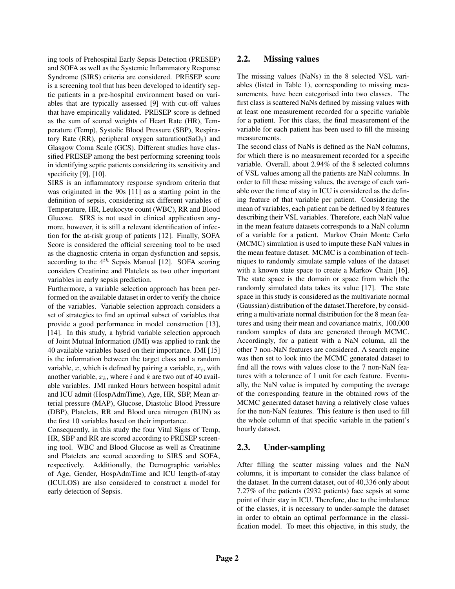ing tools of Prehospital Early Sepsis Detection (PRESEP) and SOFA as well as the Systemic Inflammatory Response Syndrome (SIRS) criteria are considered. PRESEP score is a screening tool that has been developed to identify septic patients in a pre-hospital environment based on variables that are typically assessed [9] with cut-off values that have empirically validated. PRESEP score is defined as the sum of scored weights of Heart Rate (HR), Temperature (Temp), Systolic Blood Pressure (SBP), Respiratory Rate (RR), peripheral oxygen saturation(SaO<sub>2</sub>) and Glasgow Coma Scale (GCS). Different studies have classified PRESEP among the best performing screening tools in identifying septic patients considering its sensitivity and specificity [9], [10].

SIRS is an inflammatory response syndrom criteria that was originated in the 90s [11] as a starting point in the definition of sepsis, considering six different variables of Temperature, HR, Leukocyte count (WBC), RR and Blood Glucose. SIRS is not used in clinical applicatiosn anymore, however, it is still a relevant identification of infection for the at-risk group of patients [12]. Finally, SOFA Score is considered the official screening tool to be used as the diagnostic criteria in organ dysfunction and sepsis, according to the  $4^{th}$  Sepsis Manual [12]. SOFA scoring considers Creatinine and Platelets as two other important variables in early sepsis prediction.

Furthermore, a variable selection approach has been performed on the available dataset in order to verify the choice of the variables. Variable selection approach considers a set of strategies to find an optimal subset of variables that provide a good performance in model construction [13], [14]. In this study, a hybrid variable selection approach of Joint Mutual Information (JMI) was applied to rank the 40 available variables based on their importance. JMI [15] is the information between the target class and a random variable, x, which is defined by pairing a variable,  $x_i$ , with another variable,  $x_k$ , where i and k are two out of 40 available variables. JMI ranked Hours between hospital admit and ICU admit (HospAdmTime), Age, HR, SBP, Mean arterial pressure (MAP), Glucose, Diastolic Blood Pressure (DBP), Platelets, RR and Blood urea nitrogen (BUN) as the first 10 variables based on their importance.

Consequently, in this study the four Vital Signs of Temp, HR, SBP and RR are scored according to PRESEP screening tool. WBC and Blood Glucose as well as Creatinine and Platelets are scored according to SIRS and SOFA, respectively. Additionally, the Demographic variables of Age, Gender, HospAdmTime and ICU length-of-stay (ICULOS) are also considered to construct a model for early detection of Sepsis.

### 2.2. Missing values

The missing values (NaNs) in the 8 selected VSL variables (listed in Table 1), corresponding to missing measurements, have been categorised into two classes. The first class is scattered NaNs defined by missing values with at least one measurement recorded for a specific variable for a patient. For this class, the final measurement of the variable for each patient has been used to fill the missing measurements.

The second class of NaNs is defined as the NaN columns, for which there is no measurement recorded for a specific variable. Overall, about 2.94% of the 8 selected columns of VSL values among all the patients are NaN columns. In order to fill these missing values, the average of each variable over the time of stay in ICU is considered as the defining feature of that variable per patient. Considering the mean of variables, each patient can be defined by 8 features describing their VSL variables. Therefore, each NaN value in the mean feature datasets corresponds to a NaN column of a variable for a patient. Markov Chain Monte Carlo (MCMC) simulation is used to impute these NaN values in the mean feature dataset. MCMC is a combination of techniques to randomly simulate sample values of the dataset with a known state space to create a Markov Chain [16]. The state space is the domain or space from which the randomly simulated data takes its value [17]. The state space in this study is considered as the multivariate normal (Gaussian) distribution of the dataset.Therefore, by considering a multivariate normal distribution for the 8 mean features and using their mean and covariance matrix, 100,000 random samples of data are generated through MCMC. Accordingly, for a patient with a NaN column, all the other 7 non-NaN features are considered. A search engine was then set to look into the MCMC generated dataset to find all the rows with values close to the 7 non-NaN features with a tolerance of 1 unit for each feature. Eventually, the NaN value is imputed by computing the average of the corresponding feature in the obtained rows of the MCMC generated dataset having a relatively close values for the non-NaN features. This feature is then used to fill the whole column of that specific variable in the patient's hourly dataset.

### 2.3. Under-sampling

After filling the scatter missing values and the NaN columns, it is important to consider the class balance of the dataset. In the current dataset, out of 40,336 only about 7.27% of the patients (2932 patients) face sepsis at some point of their stay in ICU. Therefore, due to the imbalance of the classes, it is necessary to under-sample the dataset in order to obtain an optimal performance in the classification model. To meet this objective, in this study, the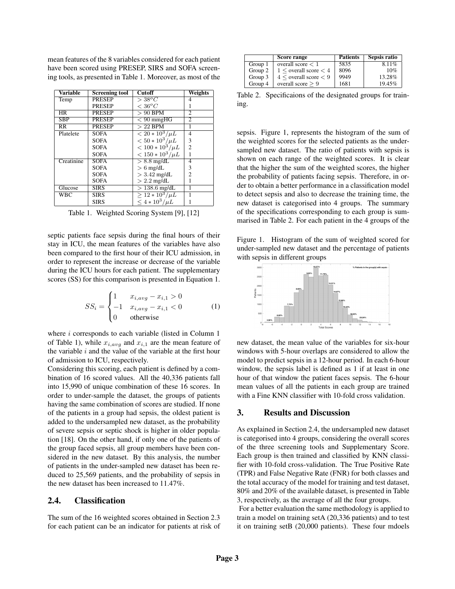mean features of the 8 variables considered for each patient have been scored using PRESEP, SIRS and SOFA screening tools, as presented in Table 1. Moreover, as most of the

| <b>Variable</b>        | <b>Screening tool</b> | <b>Cutoff</b>          | <b>Weights</b> |
|------------------------|-----------------------|------------------------|----------------|
| Temp                   | <b>PRESEP</b>         | $>38^oC$               | 4              |
|                        | <b>PRESEP</b>         | $< 36^oC$              |                |
| <b>HR</b>              | <b>PRESEP</b>         | $> 90$ BPM             | $\overline{c}$ |
| <b>SBP</b>             | <b>PRESEP</b>         | $< 90$ mmgHG           | $\overline{2}$ |
| $\overline{\text{RR}}$ | <b>PRESEP</b>         | $>22$ BPM              | 1              |
| Platelete              | <b>SOFA</b>           | $\sqrt{20*10^3/\mu L}$ | $\overline{4}$ |
|                        | <b>SOFA</b>           | $< 50 * 10^3/\mu L$    | 3              |
|                        | <b>SOFA</b>           | $< 100 * 10^3 / \mu L$ | $\overline{c}$ |
|                        | <b>SOFA</b>           | $< 150 * 10^3 / \mu L$ |                |
| Creatinine             | <b>SOFA</b>           | $> 8.8$ mg/dL          | $\overline{4}$ |
|                        | <b>SOFA</b>           | $> 6$ mg/dL            | 3              |
|                        | <b>SOFA</b>           | $>$ 3.42 mg/dL         | $\overline{c}$ |
|                        | <b>SOFA</b>           | $> 2.2$ mg/dL          |                |
| Glucose                | <b>SIRS</b>           | $>138.6$ mg/dL         |                |
| <b>WBC</b>             | <b>SIRS</b>           | $> 12 * 10^3/\mu L$    |                |
|                        | <b>SIRS</b>           | $< 4 * 10^3 / \mu L$   |                |

Table 1. Weighted Scoring System [9], [12]

septic patients face sepsis during the final hours of their stay in ICU, the mean features of the variables have also been compared to the first hour of their ICU admission, in order to represent the increase or decrease of the variable during the ICU hours for each patient. The supplementary scores (SS) for this comparison is presented in Equation 1.

$$
SS_{i} = \begin{cases} 1 & x_{i,avg} - x_{i,1} > 0 \\ -1 & x_{i,avg} - x_{i,1} < 0 \\ 0 & \text{otherwise} \end{cases}
$$
 (1)

where  $i$  corresponds to each variable (listed in Column 1) of Table 1), while  $x_{i,avg}$  and  $x_{i,1}$  are the mean feature of the variable  $i$  and the value of the variable at the first hour of admission to ICU, respectively.

Considering this scoring, each patient is defined by a combination of 16 scored values. All the 40,336 patients fall into 15,990 of unique combination of these 16 scores. In order to under-sample the dataset, the groups of patients having the same combination of scores are studied. If none of the patients in a group had sepsis, the oldest patient is added to the undersampled new dataset, as the probability of severe sepsis or septic shock is higher in older population [18]. On the other hand, if only one of the patients of the group faced sepsis, all group members have been considered in the new dataset. By this analysis, the number of patients in the under-sampled new dataset has been reduced to 25,569 patients, and the probability of sepsis in the new dataset has been increased to 11.47%.

#### 2.4. Classification

The sum of the 16 weighted scores obtained in Section 2.3 for each patient can be an indicator for patients at risk of

|         | Score range                   | <b>Patients</b> | Sepsis ratio |
|---------|-------------------------------|-----------------|--------------|
| Group 1 | overall score $< 1$           | 5835            | 8.11%        |
| Group 2 | $1 \le$ overall score $\lt 4$ | 8096            | 10%          |
| Group 3 | $4 <$ overall score $< 9$     | 9949            | 13.28%       |
| Group 4 | overall score $> 9$           | 1681            | 19.45%       |

Table 2. Specificaions of the designated groups for training.

sepsis. Figure 1, represents the histogram of the sum of the weighted scores for the selected patients as the undersampled new dataset. The ratio of patients with sepsis is shown on each range of the weighted scores. It is clear that the higher the sum of the weighted scores, the higher the probability of patients facing sepsis. Therefore, in order to obtain a better performance in a classification model to detect sepsis and also to decrease the training time, the new dataset is categorised into 4 groups. The summary of the specifications corresponding to each group is summarised in Table 2. For each patient in the 4 groups of the

Figure 1. Histogram of the sum of weighted scored for under-sampled new dataset and the percentage of patients with sepsis in different groups



new dataset, the mean value of the variables for six-hour windows with 5-hour overlaps are considered to allow the model to predict sepsis in a 12-hour period. In each 6-hour window, the sepsis label is defined as 1 if at least in one hour of that window the patient faces sepsis. The 6-hour mean values of all the patients in each group are trained with a Fine KNN classifier with 10-fold cross validation.

### 3. Results and Discussion

As explained in Section 2.4, the undersampled new dataset is categorised into 4 groups, considering the overall scores of the three screening tools and Supplementary Score. Each group is then trained and classified by KNN classifier with 10-fold cross-validation. The True Positive Rate (TPR) and False Negative Rate (FNR) for both classes and the total accuracy of the model for training and test dataset, 80% and 20% of the available dataset, is presented in Table 3, respectively, as the average of all the four groups.

For a better evaluation the same methodology is applied to train a model on training setA (20,336 patients) and to test it on training setB (20,000 patients). These four mdoels